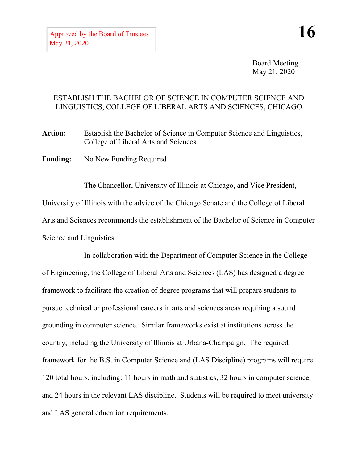Board Meeting May 21, 2020

## ESTABLISH THE BACHELOR OF SCIENCE IN COMPUTER SCIENCE AND LINGUISTICS, COLLEGE OF LIBERAL ARTS AND SCIENCES, CHICAGO

**Action:** Establish the Bachelor of Science in Computer Science and Linguistics, College of Liberal Arts and Sciences

F**unding:** No New Funding Required

The Chancellor, University of Illinois at Chicago, and Vice President, University of Illinois with the advice of the Chicago Senate and the College of Liberal Arts and Sciences recommends the establishment of the Bachelor of Science in Computer Science and Linguistics.

In collaboration with the Department of Computer Science in the College of Engineering, the College of Liberal Arts and Sciences (LAS) has designed a degree framework to facilitate the creation of degree programs that will prepare students to pursue technical or professional careers in arts and sciences areas requiring a sound grounding in computer science. Similar frameworks exist at institutions across the country, including the University of Illinois at Urbana-Champaign. The required framework for the B.S. in Computer Science and (LAS Discipline) programs will require 120 total hours, including: 11 hours in math and statistics, 32 hours in computer science, and 24 hours in the relevant LAS discipline. Students will be required to meet university and LAS general education requirements.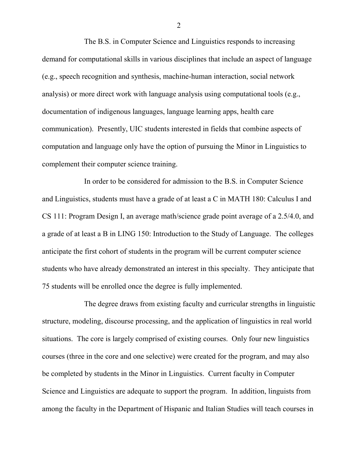The B.S. in Computer Science and Linguistics responds to increasing demand for computational skills in various disciplines that include an aspect of language (e.g., speech recognition and synthesis, machine-human interaction, social network analysis) or more direct work with language analysis using computational tools (e.g., documentation of indigenous languages, language learning apps, health care communication). Presently, UIC students interested in fields that combine aspects of computation and language only have the option of pursuing the Minor in Linguistics to complement their computer science training.

In order to be considered for admission to the B.S. in Computer Science and Linguistics, students must have a grade of at least a C in MATH 180: Calculus I and CS 111: Program Design I, an average math/science grade point average of a 2.5/4.0, and a grade of at least a B in LING 150: Introduction to the Study of Language. The colleges anticipate the first cohort of students in the program will be current computer science students who have already demonstrated an interest in this specialty. They anticipate that 75 students will be enrolled once the degree is fully implemented.

The degree draws from existing faculty and curricular strengths in linguistic structure, modeling, discourse processing, and the application of linguistics in real world situations. The core is largely comprised of existing courses. Only four new linguistics courses (three in the core and one selective) were created for the program, and may also be completed by students in the Minor in Linguistics. Current faculty in Computer Science and Linguistics are adequate to support the program. In addition, linguists from among the faculty in the Department of Hispanic and Italian Studies will teach courses in

2